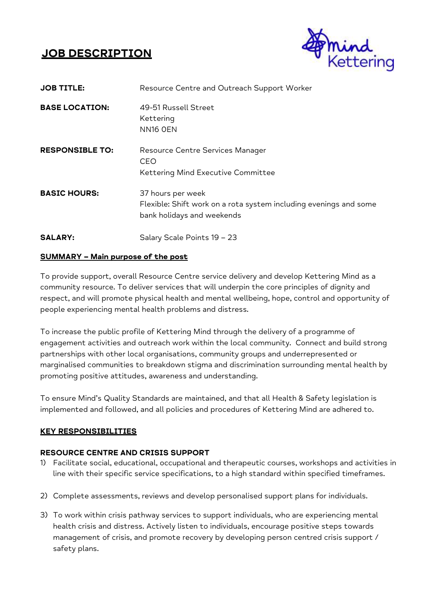# **JOB DESCRIPTION**



| <b>JOB TITLE:</b>      | Resource Centre and Outreach Support Worker                                                                          |
|------------------------|----------------------------------------------------------------------------------------------------------------------|
| <b>BASE LOCATION:</b>  | 49-51 Russell Street<br>Kettering<br>NN <sub>16</sub> OEN                                                            |
| <b>RESPONSIBLE TO:</b> | Resource Centre Services Manager<br><b>CEO</b><br>Kettering Mind Executive Committee                                 |
| <b>BASIC HOURS:</b>    | 37 hours per week<br>Flexible: Shift work on a rota system including evenings and some<br>bank holidays and weekends |
| <b>SALARY:</b>         | Salary Scale Points 19 - 23                                                                                          |

### **SUMMARY – Main purpose of the post**

To provide support, overall Resource Centre service delivery and develop Kettering Mind as a community resource. To deliver services that will underpin the core principles of dignity and respect, and will promote physical health and mental wellbeing, hope, control and opportunity of people experiencing mental health problems and distress.

To increase the public profile of Kettering Mind through the delivery of a programme of engagement activities and outreach work within the local community. Connect and build strong partnerships with other local organisations, community groups and underrepresented or marginalised communities to breakdown stigma and discrimination surrounding mental health by promoting positive attitudes, awareness and understanding.

To ensure Mind's Quality Standards are maintained, and that all Health & Safety legislation is implemented and followed, and all policies and procedures of Kettering Mind are adhered to.

# **KEY RESPONSIBILITIES**

# **RESOURCE CENTRE AND CRISIS SUPPORT**

- 1) Facilitate social, educational, occupational and therapeutic courses, workshops and activities in line with their specific service specifications, to a high standard within specified timeframes.
- 2) Complete assessments, reviews and develop personalised support plans for individuals.
- 3) To work within crisis pathway services to support individuals, who are experiencing mental health crisis and distress. Actively listen to individuals, encourage positive steps towards management of crisis, and promote recovery by developing person centred crisis support / safety plans.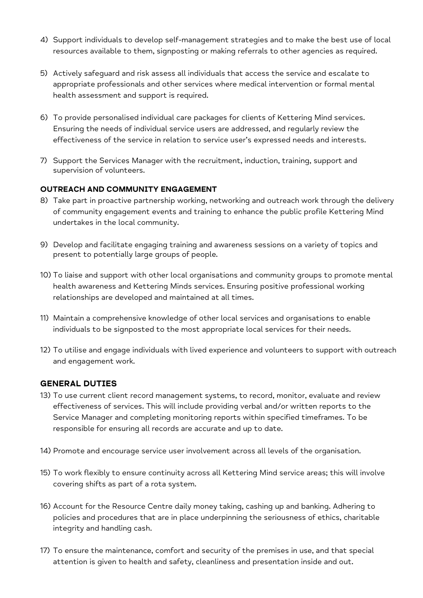- 4) Support individuals to develop self-management strategies and to make the best use of local resources available to them, signposting or making referrals to other agencies as required.
- 5) Actively safeguard and risk assess all individuals that access the service and escalate to appropriate professionals and other services where medical intervention or formal mental health assessment and support is required.
- 6) To provide personalised individual care packages for clients of Kettering Mind services. Ensuring the needs of individual service users are addressed, and regularly review the effectiveness of the service in relation to service user's expressed needs and interests.
- 7) Support the Services Manager with the recruitment, induction, training, support and supervision of volunteers.

### **OUTREACH AND COMMUNITY ENGAGEMENT**

- 8) Take part in proactive partnership working, networking and outreach work through the delivery of community engagement events and training to enhance the public profile Kettering Mind undertakes in the local community.
- 9) Develop and facilitate engaging training and awareness sessions on a variety of topics and present to potentially large groups of people.
- 10) To liaise and support with other local organisations and community groups to promote mental health awareness and Kettering Minds services. Ensuring positive professional working relationships are developed and maintained at all times.
- 11) Maintain a comprehensive knowledge of other local services and organisations to enable individuals to be signposted to the most appropriate local services for their needs.
- 12) To utilise and engage individuals with lived experience and volunteers to support with outreach and engagement work.

# **GENERAL DUTIES**

- 13) To use current client record management systems, to record, monitor, evaluate and review effectiveness of services. This will include providing verbal and/or written reports to the Service Manager and completing monitoring reports within specified timeframes. To be responsible for ensuring all records are accurate and up to date.
- 14) Promote and encourage service user involvement across all levels of the organisation.
- 15) To work flexibly to ensure continuity across all Kettering Mind service areas; this will involve covering shifts as part of a rota system.
- 16) Account for the Resource Centre daily money taking, cashing up and banking. Adhering to policies and procedures that are in place underpinning the seriousness of ethics, charitable integrity and handling cash.
- 17) To ensure the maintenance, comfort and security of the premises in use, and that special attention is given to health and safety, cleanliness and presentation inside and out.